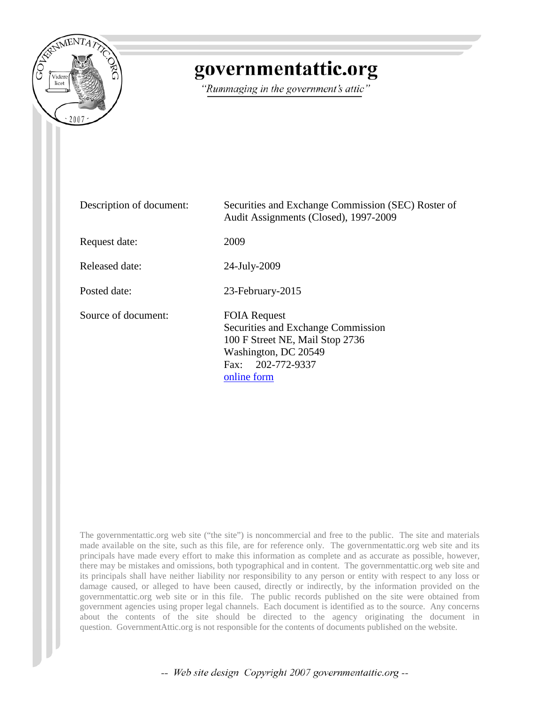

# governmentattic.org

"Rummaging in the government's attic"

| Description of document: | Securities and Exchange Commission (SEC) Roster of<br>Audit Assignments (Closed), 1997-2009                                                              |
|--------------------------|----------------------------------------------------------------------------------------------------------------------------------------------------------|
| Request date:            | 2009                                                                                                                                                     |
| Released date:           | 24-July-2009                                                                                                                                             |
| Posted date:             | 23-February-2015                                                                                                                                         |
| Source of document:      | <b>FOIA Request</b><br>Securities and Exchange Commission<br>100 F Street NE, Mail Stop 2736<br>Washington, DC 20549<br>Fax: 202-772-9337<br>online form |

The governmentattic.org web site ("the site") is noncommercial and free to the public. The site and materials made available on the site, such as this file, are for reference only. The governmentattic.org web site and its principals have made every effort to make this information as complete and as accurate as possible, however, there may be mistakes and omissions, both typographical and in content. The governmentattic.org web site and its principals shall have neither liability nor responsibility to any person or entity with respect to any loss or damage caused, or alleged to have been caused, directly or indirectly, by the information provided on the governmentattic.org web site or in this file. The public records published on the site were obtained from government agencies using proper legal channels. Each document is identified as to the source. Any concerns about the contents of the site should be directed to the agency originating the document in question. GovernmentAttic.org is not responsible for the contents of documents published on the website.

-- Web site design Copyright 2007 governmentattic.org --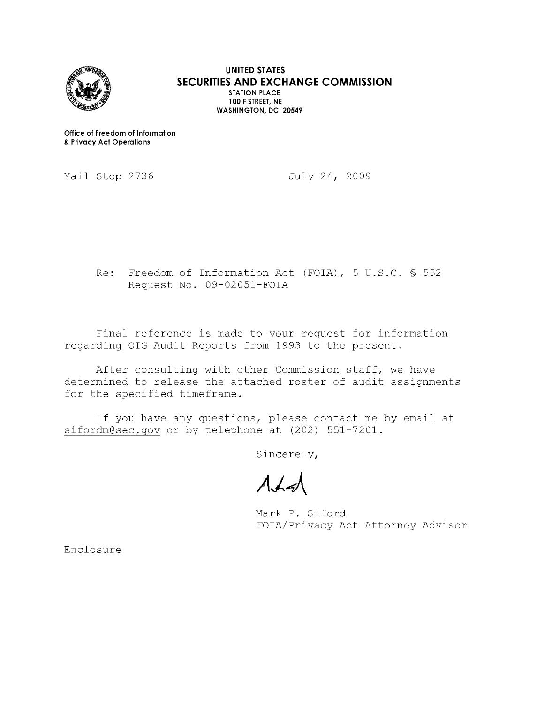

**UNITED STATES SECURITIES AND EXCHANGE COMMISSION STATION PLACE 100 F STREET, NE WASHINGTON, DC 20549** 

**Office of Freedom of Information**  & **Privacy Act Operations** 

Mail Stop 2736

July 24, 2009

Re: Freedom of Information Act (FOIA), 5 U.S.C. § 552 Request No. 09-02051-FOIA

Final reference is made to your request for information regarding OIG Audit Reports from 1993 to the present.

After consulting with other Commission staff, we have determined to release the attached roster of audit assignments for the specified timeframe.

If you have any questions, please contact me by email at sifordm@sec.gov or by telephone at (202) 551-7201.

Sincerely,

 $A + A$ 

Mark P. Siford FOIA/Privacy Act Attorney Advisor

Enclosure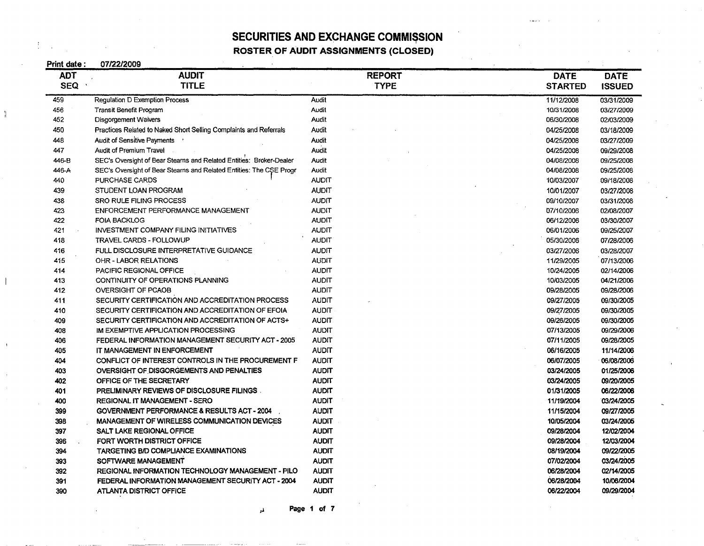ROSTER OF AUDIT ASSIGNMENTS (CLOSED)

 $\mathcal{V}$ 

| Print date: | 07/22/2009                                                          |               |                |               |
|-------------|---------------------------------------------------------------------|---------------|----------------|---------------|
| <b>ADT</b>  | <b>AUDIT</b>                                                        | <b>REPORT</b> | <b>DATE</b>    | <b>DATE</b>   |
| <b>SEQ</b>  | <b>TITLE</b>                                                        | <b>TYPE</b>   | <b>STARTED</b> | <b>ISSUED</b> |
| 459         | <b>Regulation D Exemption Process</b>                               | Audit         | 11/12/2008     | 03/31/2009    |
| 456         | <b>Transit Benefit Program</b>                                      | Audit         | 10/31/2008     | 03/27/2009    |
| 452         | Disgorgement Waivers                                                | Audit         | 06/30/2008     | 02/03/2009    |
| 450         | Practices Related to Naked Short Selling Complaints and Referrals   | Audit         | 04/25/2008     | 03/18/2009    |
| 448         | Audit of Sensitive Payments '                                       | Audit         | 04/25/2008     | 03/27/2009    |
| 447         | Audit of Premium Travel                                             | Audit         | 04/25/2008     | 09/29/2008    |
| 446-B       | SEC's Oversight of Bear Stearns and Related Entities: Broker-Dealer | Audit         | 04/08/2008     | 09/25/2008    |
| 446-A       | SEC's Oversight of Bear Stearns and Related Entities: The CSE Progr | Audit         | 04/08/2008     | 09/25/2008    |
| 440         | PURCHASE CARDS                                                      | <b>AUDIT</b>  | 10/03/2007     | 09/18/2008    |
| 439         | STUDENT LOAN PROGRAM                                                | <b>AUDIT</b>  | 10/01/2007     | 03/27/2008    |
| 438         | SRO RULE FILING PROCESS                                             | <b>AUDIT</b>  | 09/10/2007     | 03/31/2008    |
| 423         | ENFORCEMENT PERFORMANCE MANAGEMENT                                  | <b>AUDIT</b>  | 07/10/2006     | 02/08/2007    |
| 422         | <b>FOIA BACKLOG</b>                                                 | <b>AUDIT</b>  | 06/12/2006     | 03/30/2007    |
| 421         | <b>INVESTMENT COMPANY FILING INITIATIVES</b>                        | <b>AUDIT</b>  | 06/01/2006     | 09/25/2007    |
| 418         | <b>TRAVEL CARDS - FOLLOWUP</b>                                      | <b>AUDIT</b>  | 05/30/2006     | 07/28/2006    |
| 416         | FULL DISCLOSURE INTERPRETATIVE GUIDANCE                             | <b>AUDIT</b>  | 03/27/2006     | 03/28/2007    |
| 415         | OHR - LABOR RELATIONS                                               | <b>AUDIT</b>  | 11/29/2005     | 07/13/2006    |
| 414         | PACIFIC REGIONAL OFFICE                                             | <b>AUDIT</b>  | 10/24/2005     | 02/14/2006    |
| 413         | CONTINUITY OF OPERATIONS PLANNING                                   | <b>AUDIT</b>  | 10/03/2005     | 04/21/2006    |
| 412         | <b>OVERSIGHT OF PCAOB</b>                                           | <b>AUDIT</b>  | 09/28/2005     | 09/28/2006    |
| 411         | SECURITY CERTIFICATION AND ACCREDITATION PROCESS                    | <b>AUDIT</b>  | 09/27/2005     | 09/30/2005    |
| 410         | SECURITY CERTIFICATION AND ACCREDITATION OF EFOIA                   | <b>AUDIT</b>  | 09/27/2005     | 09/30/2005    |
| 409         | SECURITY CERTIFICATION AND ACCREDITATION OF ACTS+                   | <b>AUDIT</b>  | 09/26/2005     | 09/30/2005    |
| 408         | IM EXEMPTIVE APPLICATION PROCESSING                                 | <b>AUDIT</b>  | 07/13/2005     | 09/29/2006    |
| 406         | FEDERAL INFORMATION MANAGEMENT SECURITY ACT - 2005                  | <b>AUDIT</b>  | 07/11/2005     | 09/28/2005    |
| 405         | IT MANAGEMENT IN ENFORCEMENT                                        | <b>AUDIT</b>  | 06/16/2005     | 11/14/2006    |
| 404         | CONFLICT OF INTEREST CONTROLS IN THE PROCUREMENT F                  | <b>AUDIT</b>  | 06/07/2005     | 06/08/2006    |
| 403         | OVERSIGHT OF DISGORGEMENTS AND PENALTIES                            | <b>AUDIT</b>  | 03/24/2005     | 01/25/2006    |
| 402         | OFFICE OF THE SECRETARY                                             | <b>AUDIT</b>  | 03/24/2005     | 09/20/2005    |
| 401         | PRELIMINARY REVIEWS OF DISCLOSURE FILINGS                           | <b>AUDIT</b>  | 01/31/2005     | 06/22/2006    |
| 400         | REGIONAL IT MANAGEMENT - SERO                                       | <b>AUDIT</b>  | 11/19/2004     | 03/24/2005    |
| 399         | <b>GOVERNMENT PERFORMANCE &amp; RESULTS ACT - 2004</b>              | <b>AUDIT</b>  | 11/15/2004     | 09/27/2005    |
| 398         | <b>MANAGEMENT OF WIRELESS COMMUNICATION DEVICES</b>                 | <b>AUDIT</b>  | 10/05/2004     | 03/24/2005    |
| 397         | SALT LAKE REGIONAL OFFICE                                           | <b>AUDIT</b>  | 09/28/2004     | 12/02/2004    |
| 396         | FORT WORTH DISTRICT OFFICE                                          | <b>AUDIT</b>  | 09/28/2004     | 12/03/2004    |
| 394         | TARGETING B/D COMPLIANCE EXAMINATIONS                               | <b>AUDIT</b>  | 08/19/2004     | 09/22/2005    |
| 393         | SOFTWARE MANAGEMENT                                                 | <b>AUDIT</b>  | 07/02/2004     | 03/24/2005    |
| 392         | REGIONAL INFORMATION TECHNOLOGY MANAGEMENT - PILO                   | <b>AUDIT</b>  | 06/28/2004     | 02/14/2005    |
| 391         | FEDERAL INFORMATION MANAGEMENT SECURITY ACT - 2004                  | <b>AUDIT</b>  | 06/28/2004     | 10/06/2004    |
| 390         | <b>ATLANTA DISTRICT OFFICE</b>                                      | <b>AUDIT</b>  | 06/22/2004     | 09/29/2004    |

 $\mu$  Page 1 of 7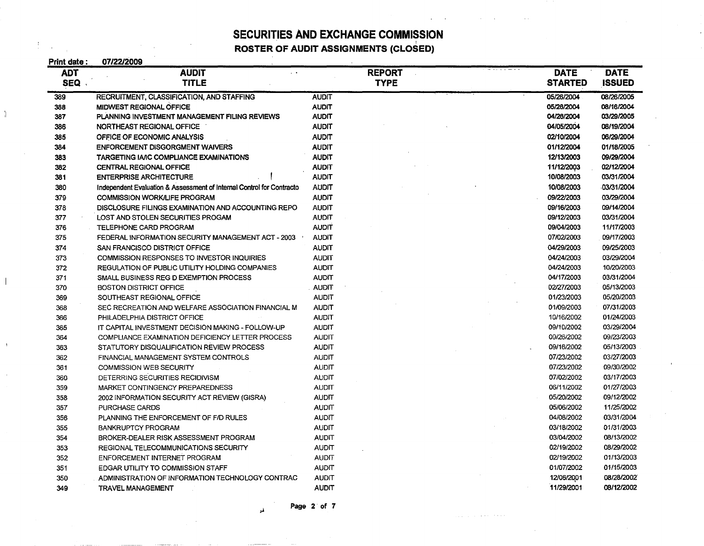I **ROSTER OF AUDIT ASSIGNMENTS (CLOSED)** 

 $\frac{1}{2}$ 

| Print date: | 07/22/2009                                                            |              |               |                |               |
|-------------|-----------------------------------------------------------------------|--------------|---------------|----------------|---------------|
| <b>ADT</b>  | <b>AUDIT</b>                                                          |              | <b>REPORT</b> | <b>DATE</b>    | <b>DATE</b>   |
| SEQ         | <b>TITLE</b>                                                          |              | <b>TYPE</b>   | <b>STARTED</b> | <b>ISSUED</b> |
| 389         | <b>RECRUITMENT, CLASSIFICATION, AND STAFFING</b>                      | <b>AUDIT</b> |               | 05/26/2004     | 08/26/2005    |
| 388         | MIDWEST REGIONAL OFFICE                                               | <b>AUDIT</b> |               | 05/26/2004     | 08/16/2004    |
| 387         | PLANNING INVESTMENT MANAGEMENT FILING REVIEWS                         | <b>AUDIT</b> |               | 04/26/2004     | 03/29/2005    |
| 386         | NORTHEAST REGIONAL OFFICE                                             | <b>AUDIT</b> |               | 04/05/2004     | 08/19/2004    |
| 385         | OFFICE OF ECONOMIC ANALYSIS                                           | <b>AUDIT</b> |               | 02/10/2004     | 06/29/2004    |
| 384         | <b>ENFORCEMENT DISGORGMENT WAIVERS</b>                                | <b>AUDIT</b> |               | 01/12/2004     | 01/18/2005    |
| 383         | TARGETING IA/IC COMPLIANCE EXAMINATIONS                               | <b>AUDIT</b> |               | 12/13/2003     | 09/29/2004    |
| 382         | <b>CENTRAL REGIONAL OFFICE</b>                                        | <b>AUDIT</b> |               | 11/12/2003     | 02/12/2004    |
| 381         | <b>ENTERPRISE ARCHITECTURE</b>                                        | <b>AUDIT</b> |               | 10/08/2003     | 03/31/2004    |
| 380         | Independent Evaluation & Assessment of Internal Control for Contracto | <b>AUDIT</b> |               | 10/08/2003     | 03/31/2004    |
| 379         | <b>COMMISSION WORK/LIFE PROGRAM</b>                                   | <b>AUDIT</b> |               | 09/22/2003     | 03/29/2004    |
| 378         | DISCLOSURE FILINGS EXAMINATION AND ACCOUNTING REPO                    | <b>AUDIT</b> |               | 09/16/2003     | 09/14/2004    |
| 377         | LOST AND STOLEN SECURITIES PROGAM                                     | <b>AUDIT</b> |               | 09/12/2003     | 03/31/2004    |
| 376         | TELEPHONE CARD PROGRAM                                                | <b>AUDIT</b> |               | 09/04/2003     | 11/17/2003    |
| 375         | FEDERAL INFORMATION SECURITY MANAGEMENT ACT - 2003                    | <b>AUDIT</b> |               | 07/02/2003     | 09/17/2003    |
| 374         | SAN FRANCISCO DISTRICT OFFICE                                         | <b>AUDIT</b> |               | 04/29/2003     | 09/25/2003    |
| 373         | COMMISSION RESPONSES TO INVESTOR INQUIRIES                            | <b>AUDIT</b> |               | 04/24/2003     | 03/29/2004    |
| 372         | REGULATION OF PUBLIC UTILITY HOLDING COMPANIES                        | <b>AUDIT</b> |               | 04/24/2003     | 10/20/2003    |
| 371         | SMALL BUSINESS REG D EXEMPTION PROCESS                                | <b>AUDIT</b> |               | 04/17/2003     | 03/31/2004    |
| 370         | <b>BOSTON DISTRICT OFFICE</b>                                         | <b>AUDIT</b> |               | 02/27/2003     | 05/13/2003    |
| 369         | SOUTHEAST REGIONAL OFFICE                                             | <b>AUDIT</b> |               | 01/23/2003     | 05/20/2003    |
| 368         | SEC RECREATION AND WELFARE ASSOCIATION FINANCIAL M                    | <b>AUDIT</b> |               | 01/09/2003     | 07/31/2003    |
| 366         | PHILADELPHIA DISTRICT OFFICE                                          | <b>AUDIT</b> |               | 10/16/2002     | 01/24/2003    |
| 365         | IT CAPITAL INVESTMENT DECISION MAKING - FOLLOW-UP                     | <b>AUDIT</b> |               | 09/10/2002     | 03/29/2004    |
| 364         | COMPLIANCE EXAMINATION DEFICIENCY LETTER PROCESS                      | <b>AUDIT</b> |               | 09/26/2002     | 09/23/2003    |
| 363         | STATUTORY DISQUALIFICATION REVIEW PROCESS                             | <b>AUDIT</b> |               | 09/16/2002     | 05/13/2003    |
| 362         | FINANCIAL MANAGEMENT SYSTEM CONTROLS                                  | <b>AUDIT</b> |               | 07/23/2002     | 03/27/2003    |
| 361         | <b>COMMISSION WEB SECURITY</b>                                        | <b>AUDIT</b> |               | 07/23/2002     | 09/30/2002    |
| 360         | DETERRING SECURITIES RECIDIVISM                                       | <b>AUDIT</b> |               | 07/02/2002     | 03/17/2003    |
| 359         | MARKET CONTINGENCY PREPAREDNESS                                       | <b>AUDIT</b> |               | 06/11/2002     | 01/27/2003    |
| 358         | 2002 INFORMATION SECURITY ACT REVIEW (GISRA)                          | <b>AUDIT</b> |               | 05/20/2002     | 09/12/2002    |
| 357         | PURCHASE CARDS                                                        | <b>AUDIT</b> |               | 05/06/2002     | 11/25/2002    |
| 356         | PLANNING THE ENFORCEMENT OF F/D RULES                                 | <b>AUDIT</b> |               | 04/08/2002     | 03/31/2004    |
| 355         | <b>BANKRUPTCY PROGRAM</b>                                             | AUDIT        |               | 03/18/2002     | 01/31/2003    |
| 354         | BROKER-DEALER RISK ASSESSMENT PROGRAM                                 | <b>AUDIT</b> |               | 03/04/2002     | 08/13/2002    |
| 353         | REGIONAL TELECOMMUNICATIONS SECURITY                                  | <b>AUDIT</b> |               | 02/19/2002     | 08/29/2002    |
| 352         | ENFORCEMENT INTERNET PROGRAM                                          | <b>AUDIT</b> |               | 02/19/2002     | 01/13/2003    |
| 351         | EDGAR UTILITY TO COMMISSION STAFF                                     | <b>AUDIT</b> |               | 01/07/2002     | 01/15/2003    |
| 350         | ADMINISTRATION OF INFORMATION TECHNOLOGY CONTRAC                      | <b>AUDIT</b> |               | 12/06/2001     | 08/28/2002    |
| 349         | <b>TRAVEL MANAGEMENT</b>                                              | <b>AUDIT</b> |               | 11/29/2001     | 08/12/2002    |

Page 2 of 7

and the company of the state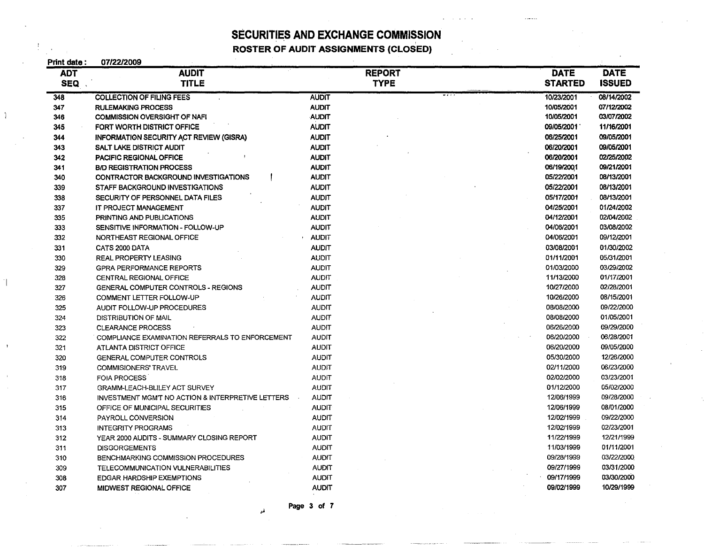I **ROSTER OF AUDIT ASSIGNMENTS (CLOSED)** 

| Print date : | 07/22/2009                                        |              |               |  |                |               |
|--------------|---------------------------------------------------|--------------|---------------|--|----------------|---------------|
| <b>ADT</b>   | <b>AUDIT</b>                                      |              | <b>REPORT</b> |  | <b>DATE</b>    | <b>DATE</b>   |
| <b>SEQ</b>   | <b>TITLE</b>                                      |              | <b>TYPE</b>   |  | <b>STARTED</b> | <b>ISSUED</b> |
| 348          | <b>COLLECTION OF FILING FEES</b>                  | <b>AUDIT</b> |               |  | 10/23/2001     | 08/14/2002    |
| 347          | <b>RULEMAKING PROCESS</b>                         | <b>AUDIT</b> |               |  | 10/05/2001     | 07/12/2002    |
| 346          | <b>COMMISSION OVERSIGHT OF NAFI</b>               | <b>AUDIT</b> |               |  | 10/05/2001     | 03/07/2002    |
| 345          | FORT WORTH DISTRICT OFFICE                        | <b>AUDIT</b> |               |  | 09/05/2001     | 11/16/2001    |
| 344          | <b>INFORMATION SECURITY ACT REVIEW (GISRA)</b>    | <b>AUDIT</b> |               |  | 06/25/2001     | 09/05/2001    |
| 343          | SALT LAKE DISTRICT AUDIT                          | <b>AUDIT</b> |               |  | 06/20/2001     | 09/05/2001    |
| 342          | PACIFIC REGIONAL OFFICE                           | <b>AUDIT</b> |               |  | 06/20/2001     | 02/25/2002    |
| 341          | <b>B/D REGISTRATION PROCESS</b>                   | <b>AUDIT</b> |               |  | 06/19/2001     | 09/21/2001    |
| 340          | CONTRACTOR BACKGROUND INVESTIGATIONS              | <b>AUDIT</b> |               |  | 05/22/2001     | 08/13/2001    |
| 339          | STAFF BACKGROUND INVESTIGATIONS                   | <b>AUDIT</b> |               |  | 05/22/2001     | 08/13/2001    |
| 338          | SECURITY OF PERSONNEL DATA FILES                  | <b>AUDIT</b> |               |  | 05/17/2001     | 08/13/2001    |
| 337          | IT PROJECT MANAGEMENT                             | <b>AUDIT</b> |               |  | 04/25/2001     | 01/24/2002    |
| 335          | PRINTING AND PUBLICATIONS                         | <b>AUDIT</b> |               |  | 04/12/2001     | 02/04/2002    |
| 333          | SENSITIVE INFORMATION - FOLLOW-UP                 | <b>AUDIT</b> |               |  | 04/06/2001     | 03/08/2002    |
| 332          | NORTHEAST REGIONAL OFFICE                         | <b>AUDIT</b> |               |  | 04/06/2001     | 09/12/2001    |
| 331          | CATS 2000 DATA                                    | <b>AUDIT</b> |               |  | 03/08/2001     | 01/30/2002    |
| 330          | <b>REAL PROPERTY LEASING</b>                      | <b>AUDIT</b> |               |  | 01/11/2001     | 05/31/2001    |
| 329          | <b>GPRA PERFORMANCE REPORTS</b>                   | <b>AUDIT</b> |               |  | 01/03/2000     | 03/29/2002    |
| 328          | CENTRAL REGIONAL OFFICE                           | <b>AUDIT</b> |               |  | 11/13/2000     | 01/17/2001    |
| 327          | GENERAL COMPUTER CONTROLS - REGIONS               | <b>AUDIT</b> |               |  | 10/27/2000     | 02/28/2001    |
| 326          | COMMENT LETTER FOLLOW-UP                          | <b>AUDIT</b> |               |  | 10/26/2000     | 08/15/2001    |
| 325          | AUDIT FOLLOW-UP PROCEDURES                        | <b>AUDIT</b> |               |  | 08/08/2000     | 09/22/2000    |
| 324          | DISTRIBUTION OF MAIL                              | <b>AUDIT</b> |               |  | 08/08/2000     | 01/05/2001    |
| 323          | CLEARANCE PROCESS                                 | <b>AUDIT</b> |               |  | 06/26/2000     | 09/29/2000    |
| 322          | COMPLIANCE EXAMINATION REFERRALS TO ENFORCEMENT   | <b>AUDIT</b> |               |  | 06/20/2000     | 06/28/2001    |
| 321          | ATLANTA DISTRICT OFFICE                           | <b>AUDIT</b> |               |  | 06/20/2000     | 09/05/2000    |
| 320          | <b>GENERAL COMPUTER CONTROLS</b>                  | <b>AUDIT</b> |               |  | 05/30/2000     | 12/26/2000    |
| 319          | <b>COMMISIONERS' TRAVEL</b>                       | <b>AUDIT</b> |               |  | 02/11/2000     | 06/23/2000    |
| 318          | <b>FOIA PROCESS</b>                               | <b>AUDIT</b> |               |  | 02/02/2000     | 03/23/2001    |
| 317          | GRAMM-LEACH-BLILEY ACT SURVEY                     | <b>AUDIT</b> |               |  | 01/12/2000     | 05/02/2000    |
| 316          | INVESTMENT MGM'T NO ACTION & INTERPRETIVE LETTERS | <b>AUDIT</b> |               |  | 12/06/1999     | 09/28/2000    |
| 315          | OFFICE OF MUNICIPAL SECURITIES                    | <b>AUDIT</b> |               |  | 12/06/1999     | 08/01/2000    |
| 314          | PAYROLL CONVERSION                                | <b>AUDIT</b> |               |  | 12/02/1999     | 09/22/2000    |
| 313          | <b>INTEGRITY PROGRAMS</b>                         | <b>AUDIT</b> |               |  | 12/02/1999     | 02/23/2001    |
| 312          | YEAR 2000 AUDITS - SUMMARY CLOSING REPORT         | <b>AUDIT</b> |               |  | 11/22/1999     | 12/21/1999    |
| 311          | <b>DISGORGEMENTS</b>                              | <b>AUDIT</b> |               |  | 11/03/1999     | 01/11/2001    |
| 310          | BENCHMARKING COMMISSION PROCEDURES                | <b>AUDIT</b> |               |  | 09/28/1999     | 03/22/2000    |
| 309          | TELECOMMUNICATION VULNERABILITIES                 | <b>AUDIT</b> |               |  | 09/27/1999     | 03/31/2000    |
| 308          | <b>EDGAR HARDSHIP EXEMPTIONS</b>                  | <b>AUDIT</b> |               |  | 09/17/1999     | 03/30/2000    |
| 307          | <b>MIDWEST REGIONAL OFFICE</b>                    | <b>AUDIT</b> |               |  | 09/02/1999     | 10/29/1999    |

Page 3 of 7

 $\mathbf{J}_\mathrm{c}$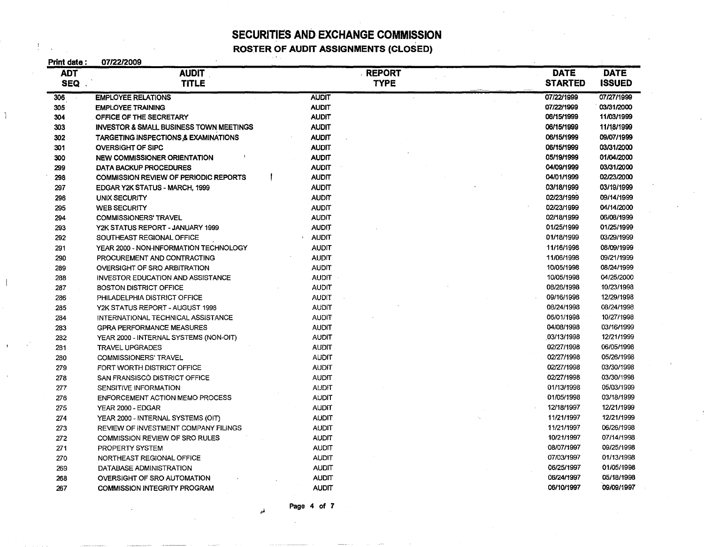### SECURITIES AND EXCHANGE COMMISSION ROSTER OF AUDIT ASSIGNMENTS (CLOSED)

| 07/22/2009                                         |              |               |  |                |               |
|----------------------------------------------------|--------------|---------------|--|----------------|---------------|
| <b>AUDIT</b>                                       |              | <b>REPORT</b> |  | <b>DATE</b>    | <b>DATE</b>   |
| <b>TITLE</b>                                       |              | <b>TYPE</b>   |  | <b>STARTED</b> | <b>ISSUED</b> |
| <b>EMPLOYEE RELATIONS</b>                          | <b>AUDIT</b> |               |  | 07/22/1999     | 07/27/1999    |
| <b>EMPLOYEE TRAINING</b>                           | <b>AUDIT</b> |               |  | 07/22/1999     | 03/31/2000    |
| OFFICE OF THE SECRETARY                            | <b>AUDIT</b> |               |  | 06/15/1999     | 11/03/1999    |
| <b>INVESTOR &amp; SMALL BUSINESS TOWN MEETINGS</b> | <b>AUDIT</b> |               |  | 06/15/1999     | 11/18/1999    |
| <b>TARGETING INSPECTIONS &amp; EXAMINATIONS</b>    | <b>AUDIT</b> |               |  | 06/15/1999     | 09/07/1999    |
| <b>OVERSIGHT OF SIPC</b>                           | <b>AUDIT</b> |               |  | 06/15/1999     | 03/31/2000    |
| <b>NEW COMMISSIONER ORIENTATION</b>                | <b>AUDIT</b> |               |  | 05/19/1999     | 01/04/2000    |
| DATA BACKUP PROCEDURES                             | <b>AUDIT</b> |               |  | 04/09/1999     | 03/31/2000    |
| <b>COMMISSION REVIEW OF PERIODIC REPORTS</b>       | <b>AUDIT</b> |               |  | 04/01/1999     | 02/23/2000    |
| EDGAR Y2K STATUS - MARCH, 1999                     | <b>AUDIT</b> |               |  | 03/18/1999     | 03/19/1999    |
| <b>UNIX SECURITY</b>                               | <b>AUDIT</b> |               |  | 02/23/1999     | 09/14/1999    |
| <b>WEB SECURITY</b>                                | <b>AUDIT</b> |               |  | 02/23/1999     | 04/14/2000    |
| <b>COMMISSIONERS' TRAVEL</b>                       | <b>AUDIT</b> |               |  | 02/18/1999     | 06/08/1999    |
| Y2K STATUS REPORT - JANUARY 1999                   | <b>AUDIT</b> |               |  | 01/25/1999     | 01/25/1999    |
| SOUTHEAST REGIONAL OFFICE                          | <b>AUDIT</b> |               |  | 01/18/1999     | 03/29/1999    |
| YEAR 2000 - NON-INFORMATION TECHNOLOGY             | <b>AUDIT</b> |               |  | 11/16/1998     | 08/09/1999    |
| PROCUREMENT AND CONTRACTING                        | <b>AUDIT</b> |               |  | 11/06/1998     | 09/21/1999    |
| OVERSIGHT OF SRO ARBITRATION                       | <b>AUDIT</b> |               |  | 10/05/1998     | 08/24/1999    |
| <b>INVESTOR EDUCATION AND ASSISTANCE</b>           | <b>AUDIT</b> |               |  | 10/05/1998     | 04/25/2000    |
| <b>BOSTON DISTRICT OFFICE</b>                      | <b>AUDIT</b> |               |  | 08/26/1998     | 10/23/1998    |
| PHILADELPHIA DISTRICT OFFICE                       | <b>AUDIT</b> |               |  | 09/16/1998     | 12/29/1998    |
| Y2K STATUS REPORT - AUGUST 1998                    | <b>AUDIT</b> |               |  | 08/24/1998     | 08/24/1998    |
| INTERNATIONAL TECHNICAL ASSISTANCE                 | <b>AUDIT</b> |               |  | 06/01/1998     | 10/27/1998    |
| <b>GPRA PERFORMANCE MEASURES</b>                   | <b>AUDIT</b> |               |  | 04/08/1998     | 03/16/1999    |
| YEAR 2000 - INTERNAL SYSTEMS (NON-OIT)             | <b>AUDIT</b> |               |  | 03/13/1998     | 12/21/1999    |
| <b>TRAVEL UPGRADES</b>                             | <b>AUDIT</b> |               |  | 02/27/1998     | 06/05/1998    |
| COMMISSIONERS' TRAVEL                              | <b>AUDIT</b> |               |  | 02/27/1998     | 05/26/1998    |
| FORT WORTH DISTRICT OFFICE                         | <b>AUDIT</b> |               |  | 02/27/1998     | 03/30/1998    |
| SAN FRANSISCO DISTRICT OFFICE                      | <b>AUDIT</b> |               |  | 02/27/1998     | 03/30/1998    |
| SENSITIVE INFORMATION                              | <b>AUDIT</b> |               |  | 01/13/1998     | 05/03/1999    |
| <b>ENFORCEMENT ACTION MEMO PROCESS</b>             | <b>AUDIT</b> |               |  | 01/05/1998     | 03/18/1999    |
| YEAR 2000 - EDGAR                                  | <b>AUDIT</b> |               |  | 12/18/1997     | 12/21/1999    |
| YEAR 2000 - INTERNAL SYSTEMS (OIT)                 | <b>AUDIT</b> |               |  | 11/21/1997     | 12/21/1999    |
| REVIEW OF INVESTMENT COMPANY FILINGS               | <b>AUDIT</b> |               |  | 11/21/1997     | 06/26/1998    |
| COMMISSION REVIEW OF SRO RULES                     | <b>AUDIT</b> |               |  | 10/21/1997     | 07/14/1998    |
| PROPERTY SYSTEM                                    | <b>AUDIT</b> |               |  | 08/07/1997     | 09/25/1998    |
| NORTHEAST REGIONAL OFFICE                          | <b>AUDIT</b> |               |  | 07/03/1997     | 01/13/1998    |
| DATABASE ADMINISTRATION                            | <b>AUDIT</b> |               |  | 06/25/1997     | 01/05/1998    |
| OVERSIGHT OF SRO AUTOMATION                        | <b>AUDIT</b> |               |  | 06/24/1997     | 05/18/1998    |
| <b>COMMISSION INTEGRITY PROGRAM</b>                | <b>AUDIT</b> |               |  | 06/10/1997     | 09/09/1997    |
|                                                    |              |               |  |                |               |

Page 4 of 7

 $\mathbf{A}^{\top}$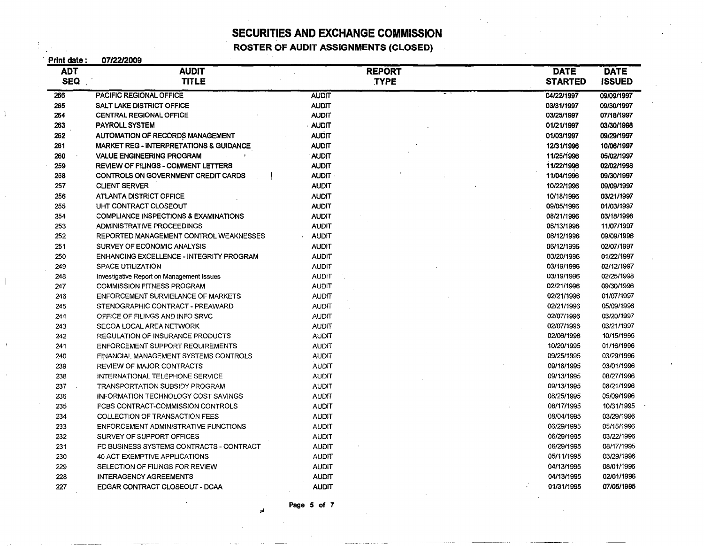I **ROSTER OF AUDIT ASSIGNMENTS (CLOSED)** 

| Print date: | 07/22/2009                                         |               |             |                |               |
|-------------|----------------------------------------------------|---------------|-------------|----------------|---------------|
| <b>ADT</b>  | <b>AUDIT</b>                                       | <b>REPORT</b> |             | <b>DATE</b>    | <b>DATE</b>   |
| <b>SEQ</b>  | <b>TITLE</b>                                       |               | <b>TYPE</b> | <b>STARTED</b> | <b>ISSUED</b> |
| 266         | PACIFIC REGIONAL OFFICE                            | <b>AUDIT</b>  |             | 04/22/1997     | 09/09/1997    |
| 265         | <b>SALT LAKE DISTRICT OFFICE</b>                   | <b>AUDIT</b>  |             | 03/31/1997     | 09/30/1997    |
| 264         | <b>CENTRAL REGIONAL OFFICE</b>                     | <b>AUDIT</b>  |             | 03/25/1997     | 07/18/1997    |
| 263         | <b>PAYROLL SYSTEM</b>                              | <b>AUDIT</b>  |             | 01/21/1997     | 03/30/1998    |
| 262         | AUTOMATION OF RECORDS MANAGEMENT                   | <b>AUDIT</b>  |             | 01/03/1997     | 09/29/1997    |
| 261         | <b>MARKET REG - INTERPRETATIONS &amp; GUIDANCE</b> | <b>AUDIT</b>  |             | 12/31/1996     | 10/06/1997    |
| 260         | <b>VALUE ENGINEERING PROGRAM</b>                   | <b>AUDIT</b>  |             | 11/25/1996     | 05/02/1997    |
| 259         | REVIEW OF FILINGS - COMMENT LETTERS                | <b>AUDIT</b>  |             | 11/22/1996     | 02/02/1998    |
| 258         | CONTROLS ON GOVERNMENT CREDIT CARDS                | <b>AUDIT</b>  |             | 11/04/1996     | 09/30/1997    |
| 257         | <b>CLIENT SERVER</b>                               | <b>AUDIT</b>  |             | 10/22/1996     | 09/09/1997    |
| 256         | <b>ATLANTA DISTRICT OFFICE</b>                     | <b>AUDIT</b>  |             | 10/18/1996     | 03/21/1997    |
| 255         | UHT CONTRACT CLOSEOUT                              | <b>AUDIT</b>  |             | 09/05/1996     | 01/03/1997    |
| 254         | COMPLIANCE INSPECTIONS & EXAMINATIONS              | <b>AUDIT</b>  |             | 08/21/1996     | 03/18/1998    |
| 253         | ADMINISTRATIVE PROCEEDINGS                         | <b>AUDIT</b>  |             | 08/13/1996     | 11/07/1997    |
| 252         | REPORTED MANAGEMENT CONTROL WEAKNESSES             | <b>AUDIT</b>  |             | 06/12/1996     | 09/09/1996    |
| 251         | SURVEY OF ECONOMIC ANALYSIS                        | <b>AUDIT</b>  |             | 06/12/1996     | 02/07/1997    |
| 250         | ENHANCING EXCELLENCE - INTEGRITY PROGRAM           | <b>AUDIT</b>  |             | 03/20/1996     | 01/22/1997    |
| 249         | <b>SPACE UTILIZATION</b>                           | <b>AUDIT</b>  |             | 03/19/1996     | 02/12/1997    |
| 248         | Investigative Report on Management Issues          | <b>AUDIT</b>  |             | 03/19/1996     | 02/25/1998    |
| 247         | <b>COMMISSION FITNESS PROGRAM</b>                  | <b>AUDIT</b>  |             | 02/21/1996     | 09/30/1996    |
| 246         | <b>ENFORCEMENT SURVIELANCE OF MARKETS</b>          | <b>AUDIT</b>  |             | 02/21/1996     | 01/07/1997    |
| 245         | STENOGRAPHIC CONTRACT - PREAWARD                   | <b>AUDIT</b>  |             | 02/21/1996     | 05/09/1996    |
| 244         | OFFICE OF FILINGS AND INFO SRVC                    | <b>AUDIT</b>  |             | 02/07/1996     | 03/20/1997    |
| 243         | SECOA LOCAL AREA NETWORK                           | <b>AUDIT</b>  |             | 02/07/1996     | 03/21/1997    |
| 242         | REGULATION OF INSURANCE PRODUCTS                   | <b>AUDIT</b>  |             | 02/06/1996     | 10/15/1996    |
| 241         | ENFORCEMENT SUPPORT REQUIREMENTS                   | <b>AUDIT</b>  |             | 10/20/1995     | 01/16/1996    |
| 240         | FINANCIAL MANAGEMENT SYSTEMS CONTROLS              | AUDIT         |             | 09/25/1995     | 03/29/1996    |
| 239         | REVIEW OF MAJOR CONTRACTS                          | AUDIT         |             | 09/18/1995     | 03/01/1996    |
| 238         | INTERNATIONAL TELEPHONE SERVICE                    | <b>AUDIT</b>  |             | 09/13/1995     | 08/27/1996    |
| 237         | TRANSPORTATION SUBSIDY PROGRAM                     | <b>AUDIT</b>  |             | 09/13/1995     | 08/21/1996    |
| 236         | <b>INFORMATION TECHNOLOGY COST SAVINGS</b>         | <b>AUDIT</b>  |             | 08/25/1995     | 05/09/1996    |
| 235         | FCBS CONTRACT-COMMISSION CONTROLS                  | <b>AUDIT</b>  |             | 08/17/1995     | 10/31/1995    |
| 234         | COLLECTION OF TRANSACTION FEES                     | <b>AUDIT</b>  |             | 08/04/1995     | 03/29/1996    |
| 233         | ENFORCEMENT ADMINISTRATIVE FUNCTIONS               | <b>AUDIT</b>  |             | 06/29/1995     | 05/15/1996    |
| 232         | SURVEY OF SUPPORT OFFICES                          | <b>AUDIT</b>  |             | 06/29/1995     | 03/22/1996    |
| 231         | FC BUSINESS SYSTEMS CONTRACTS - CONTRACT           | <b>AUDIT</b>  |             | 06/29/1995     | 08/17/1995    |
| 230         | 40 ACT EXEMPTIVE APPLICATIONS                      | <b>AUDIT</b>  |             | 05/11/1995     | 03/29/1996    |
| 229         | SELECTION OF FILINGS FOR REVIEW                    | <b>AUDIT</b>  |             | 04/13/1995     | 08/01/1996    |
| 228         | <b>INTERAGENCY AGREEMENTS</b>                      | <b>AUDIT</b>  |             | 04/13/1995     | 02/01/1996    |
| 227         | EDGAR CONTRACT CLOSEOUT - DCAA                     | <b>AUDIT</b>  |             | 01/31/1995     | 07/05/1995    |

Page 5 of 7

*:J*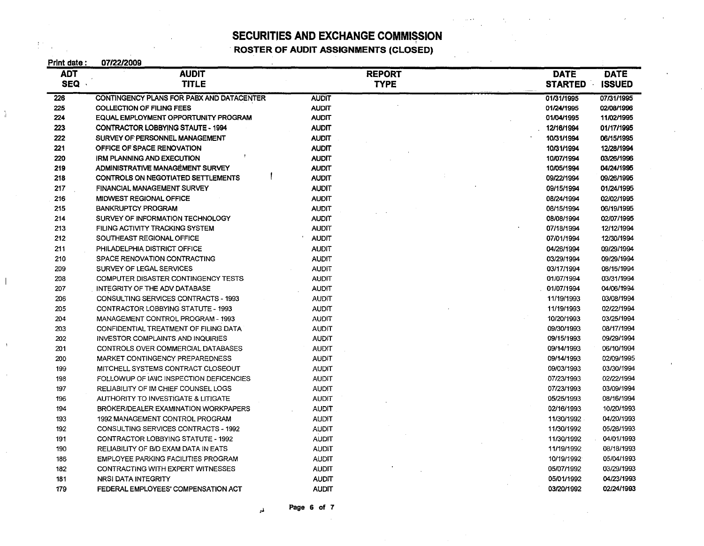. **ROSTER OF AUDIT ASSIGNMENTS (CLOSED)** 

 $\left\{ \begin{array}{ll} \mathcal{E}_{\mathcal{A}} & \mathcal{E}_{\mathcal{A}} \\ \mathcal{E}_{\mathcal{A}} & \mathcal{E}_{\mathcal{A}} \end{array} \right\}$ 

| Print date : | 07/22/2009                                |               |                                 |
|--------------|-------------------------------------------|---------------|---------------------------------|
| <b>ADT</b>   | <b>AUDIT</b>                              | <b>REPORT</b> | <b>DATE</b><br><b>DATE</b>      |
| <b>SEQ</b>   | <b>TITLE</b>                              | <b>TYPE</b>   | <b>STARTED</b><br><b>ISSUED</b> |
| 226          | CONTINGENCY PLANS FOR PABX AND DATACENTER | <b>AUDIT</b>  | 01/31/1995<br>07/31/1995        |
| 225          | COLLECTION OF FILING FEES                 | <b>AUDIT</b>  | 01/24/1995<br>02/08/1996        |
| 224          | EQUAL EMPLOYMENT OPPORTUNITY PROGRAM      | <b>AUDIT</b>  | 01/04/1995<br>11/02/1995        |
| 223          | <b>CONTRACTOR LOBBYING STAUTE - 1994</b>  | <b>AUDIT</b>  | 01/17/1995<br>12/16/1994        |
| 222          | SURVEY OF PERSONNEL MANAGEMENT            | <b>AUDIT</b>  | 10/31/1994<br>06/15/1995        |
| 221          | OFFICE OF SPACE RENOVATION                | <b>AUDIT</b>  | 10/31/1994<br>12/28/1994        |
| 220          | <b>IRM PLANNING AND EXECUTION</b>         | <b>AUDIT</b>  | 03/26/1996<br>10/07/1994        |
| 219          | ADMINISTRATIVE MANAGEMENT SURVEY          | <b>AUDIT</b>  | 04/24/1995<br>10/05/1994        |
| 218          | CONTROLS ON NEGOTIATED SETTLEMENTS        | <b>AUDIT</b>  | 09/22/1994<br>09/26/1995        |
| 217          | <b>FINANCIAL MANAGEMENT SURVEY</b>        | <b>AUDIT</b>  | 09/15/1994<br>01/24/1995        |
| 216          | MIDWEST REGIONAL OFFICE                   | <b>AUDIT</b>  | 08/24/1994<br>02/02/1995        |
| 215          | <b>BANKRUPTCY PROGRAM</b>                 | <b>AUDIT</b>  | 08/15/1994<br>06/19/1995        |
| 214          | SURVEY OF INFORMATION TECHNOLOGY          | <b>AUDIT</b>  | 08/08/1994<br>02/07/1995        |
| 213          | FILING ACTIVITY TRACKING SYSTEM           | <b>AUDIT</b>  | 07/18/1994<br>12/12/1994        |
| 212          | SOUTHEAST REGIONAL OFFICE                 | <b>AUDIT</b>  | 12/30/1994<br>07/01/1994        |
| 211          | PHILADELPHIA DISTRICT OFFICE              | <b>AUDIT</b>  | 04/26/1994<br>09/29/1994        |
| 210          | SPACE RENOVATION CONTRACTING              | <b>AUDIT</b>  | 03/29/1994<br>09/29/1994        |
| 209          | SURVEY OF LEGAL SERVICES                  | <b>AUDIT</b>  | 03/17/1994<br>08/15/1994        |
| 208          | COMPUTER DISASTER CONTINGENCY TESTS       | <b>AUDIT</b>  | 01/07/1994<br>03/31/1994        |
| 207          | INTEGRITY OF THE ADV DATABASE             | <b>AUDIT</b>  | 01/07/1994<br>04/06/1994        |
| 206          | CONSULTING SERVICES CONTRACTS - 1993      | <b>AUDIT</b>  | 11/19/1993<br>03/08/1994        |
| 205          | CONTRACTOR LOBBYING STATUTE - 1993        | <b>AUDIT</b>  | 02/22/1994<br>11/19/1993        |
| 204          | MANAGEMENT CONTROL PROGRAM - 1993         | <b>AUDIT</b>  | 10/20/1993<br>03/25/1994        |
| 203          | CONFIDENTIAL TREATMENT OF FILING DATA     | <b>AUDIT</b>  | 09/30/1993<br>08/17/1994        |
| 202          | <b>INVESTOR COMPLAINTS AND INQUIRIES</b>  | <b>AUDIT</b>  | 09/29/1994<br>09/15/1993        |
| 201          | CONTROLS OVER COMMERCIAL DATABASES        | <b>AUDIT</b>  | 09/14/1993<br>06/10/1994        |
| 200          | MARKET CONTINGENCY PREPAREDNESS           | <b>AUDIT</b>  | 02/09/1995<br>09/14/1993        |
| 199          | MITCHELL SYSTEMS CONTRACT CLOSEOUT        | <b>AUDIT</b>  | 09/03/1993<br>03/30/1994        |
| 198          | FOLLOWUP OF IANC INSPECTION DEFICENCIES   | <b>AUDIT</b>  | 02/22/1994<br>07/23/1993        |
| 197          | RELIABILITY OF IM CHIEF COUNSEL LOGS      | <b>AUDIT</b>  | 07/23/1993<br>03/09/1994        |
| 196          | AUTHORITY TO INVESTIGATE & LITIGATE       | <b>AUDIT</b>  | 05/25/1993<br>08/16/1994        |
| 194          | BROKER/DEALER EXAMINATION WORKPAPERS      | <b>AUDIT</b>  | 10/20/1993<br>02/16/1993        |
| 193          | 1992 MANAGEMENT CONTROL PROGRAM           | <b>AUDIT</b>  | 04/20/1993<br>11/30/1992        |
| 192          | CONSULTING SERVICES CONTRACTS - 1992      | <b>AUDIT</b>  | 11/30/1992<br>05/26/1993        |
| 191          | CONTRACTOR LOBBYING STATUTE - 1992        | <b>AUDIT</b>  | 11/30/1992<br>04/01/1993        |
| 190          | RELIABILITY OF B/D EXAM DATA IN EATS      | <b>AUDIT</b>  | 08/18/1993<br>11/19/1992        |
| 186          | EMPLOYEE PARKING FACILITIES PROGRAM       | <b>AUDIT</b>  | 05/04/1993<br>10/19/1992        |
| 182          | CONTRACTING WITH EXPERT WITNESSES         | <b>AUDIT</b>  | 03/29/1993<br>05/07/1992        |
| 181          | NRSI DATA INTEGRITY                       | <b>AUDIT</b>  | 04/23/1993<br>05/01/1992        |
| 179          | FEDERAL EMPLOYEES' COMPENSATION ACT       | <b>AUDIT</b>  | 02/24/1993<br>03/20/1992        |

 $\mu$  Page 6 of 7